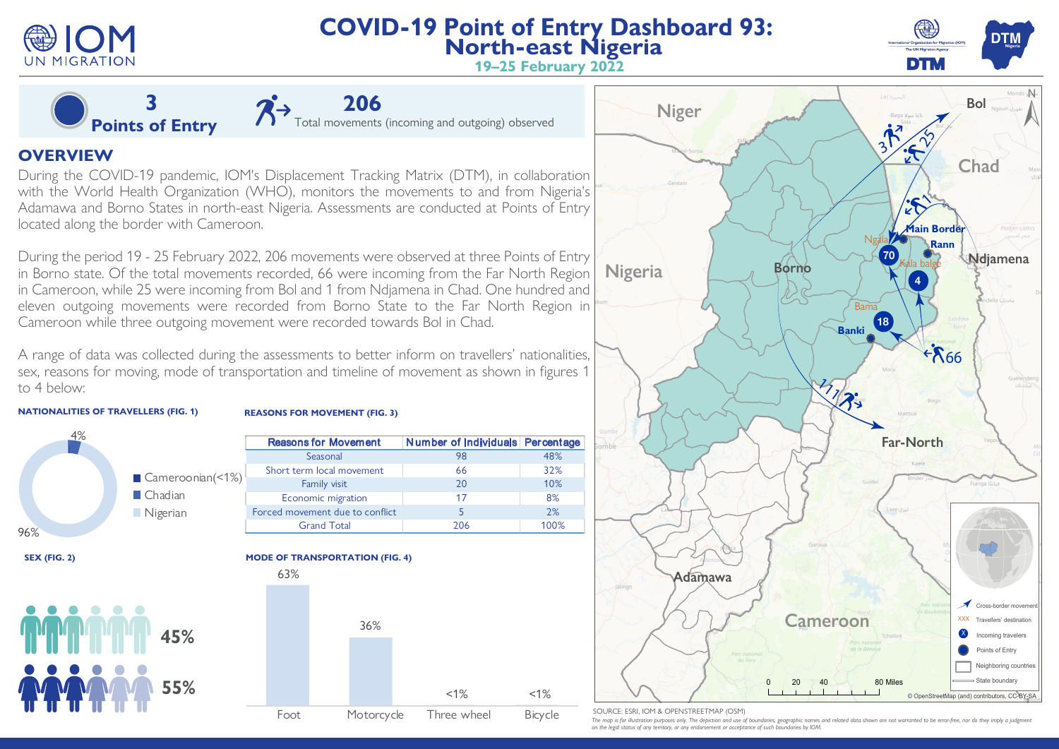

SOURCE: ESRI, IOM & OPENSTREETMAP (OSM)

The map is for illustration purposes only. The depiction and use of boundaries, geographic names and related data shown are not warranted to be error-free, nor do they imply a judgment *on the legal status of any territory, or any endorsement or acceptance of such boundaries by IOM.* 

0 20 40 80 Miles

Foot Motorcycle Three wheel Bicycle

 $<1\%$   $<1\%$ 

## **55%**



**Ndjamena**

**Chad**

Cross-border mover

Incoming travelers Points of Entry Neighboring countries State boundary

Travellers' destination

X

© OpenStreetMap (and) contributors, CC-BY-SA